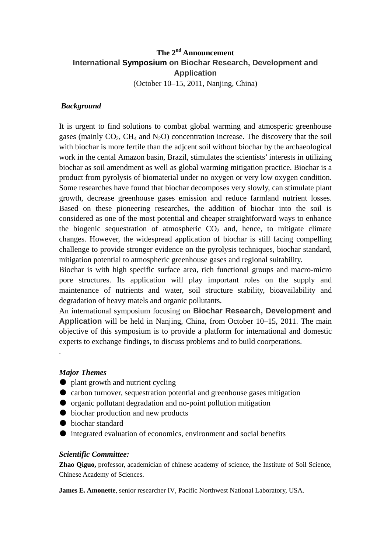# **The 2nd Announcement International Symposium on Biochar Research, Development and Application**  (October 10–15, 2011, Nanjing, China)

### *[Background](http://www.sim.ac.cn/xwzx/tzgg/201010/W020101029503999617258.doc)*

It is urgent to find solutions to combat global warming and atmosperic greenhouse gases (mainly  $CO<sub>2</sub>$ , CH<sub>4</sub> and N<sub>2</sub>O) concentration increase. The discovery that the soil with biochar is more fertile than the adjcent soil without biochar by the archaeological work in the cental Amazon basin, Brazil, stimulates the scientists' interests in utilizing biochar as soil amendment as well as global warming mitigation practice. Biochar is a product from pyrolysis of biomaterial under no oxygen or very low oxygen condition. Some researches have found that biochar decomposes very slowly, can stimulate plant growth, decrease greenhouse gases emission and reduce farmland nutrient losses. Based on these pioneering researches, the addition of biochar into the soil is considered as one of the most potential and cheaper straightforward ways to enhance the biogenic sequestration of atmospheric  $CO<sub>2</sub>$  and, hence, to mitigate climate changes. However, the widespread application of biochar is still facing compelling challenge to provide stronger evidence on the pyrolysis techniques, biochar standard, mitigation potential to atmospheric greenhouse gases and regional suitability.

Biochar is with high specific surface area, rich functional groups and macro-micro pore structures. Its application will play important roles on the supply and maintenance of nutrients and water, soil structure stability, bioavailability and degradation of heavy matels and organic pollutants.

An international symposium focusing on **Biochar Research, Development and Application** will be held in Nanjing, China, from October 10–15, 2011. The main objective of this symposium is to provide a platform for international and domestic experts to exchange findings, to discuss problems and to build coorperations.

#### *Major Themes*

.

- plant growth and nutrient cycling
- carbon turnover, sequestration potential and greenhouse gases mitigation
- organic pollutant degradation and no-point pollution mitigation
- biochar production and new products
- biochar standard
- integrated evaluation of economics, environment and social benefits

#### *Scientific Committee:*

**Zhao Qiguo,** professor, academician of chinese academy of science, the Institute of Soil Science, Chinese Academy of Sciences.

**James E. Amonette**, senior researcher IV, Pacific Northwest National Laboratory, USA.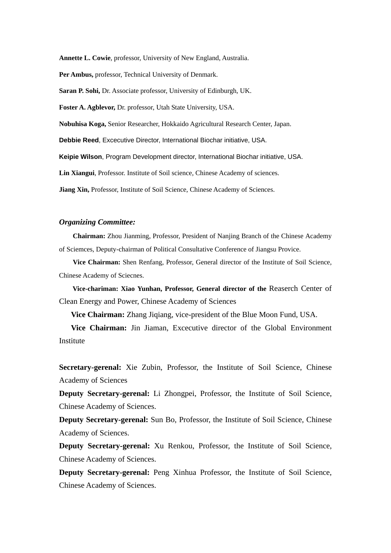**Annette L. Cowie**, professor, University of New England, Australia.

**Per Ambus,** professor, Technical University of Denmark.

**Saran P. Sohi,** Dr. Associate professor, University of Edinburgh, UK.

**Foster A. Agblevor,** Dr. professor, Utah State University, USA.

**Nobuhisa Koga,** Senior Researcher, Hokkaido Agricultural Research Center, Japan.

**Debbie Reed**, Excecutive Director, International Biochar initiative, USA.

**Keipie Wilson**, Program Development director, International Biochar initiative, USA.

**Lin Xiangui**, Professor. Institute of Soil science, Chinese Academy of sciences.

**Jiang Xin,** Professor, Institute of Soil Science, Chinese Academy of Sciences.

#### *Organizing Committee:*

**Chairman:** Zhou Jianming, Professor, President of Nanjing Branch of the Chinese Academy of Sciemces, Deputy-chairman of Political Consultative Conference of Jiangsu Provice.

**Vice Chairman:** Shen Renfang, Professor, General director of the Institute of Soil Science, Chinese Academy of Sciecnes.

**Vice-chariman: Xiao Yunhan, Professor, General director of the** Reaserch Center of Clean Energy and Power, Chinese Academy of Sciences

**Vice Chairman:** Zhang Jiqiang, vice-president of the Blue Moon Fund, USA.

**Vice Chairman:** Jin Jiaman, Excecutive director of the Global Environment Institute

**Secretary-gerenal:** Xie Zubin, Professor, the Institute of Soil Science, Chinese Academy of Sciences

**Deputy Secretary-gerenal:** Li Zhongpei, Professor, the Institute of Soil Science, Chinese Academy of Sciences.

**Deputy Secretary-gerenal:** Sun Bo, Professor, the Institute of Soil Science, Chinese Academy of Sciences.

**Deputy Secretary-gerenal:** Xu Renkou, Professor, the Institute of Soil Science, Chinese Academy of Sciences.

**Deputy Secretary-gerenal:** Peng Xinhua Professor, the Institute of Soil Science, Chinese Academy of Sciences.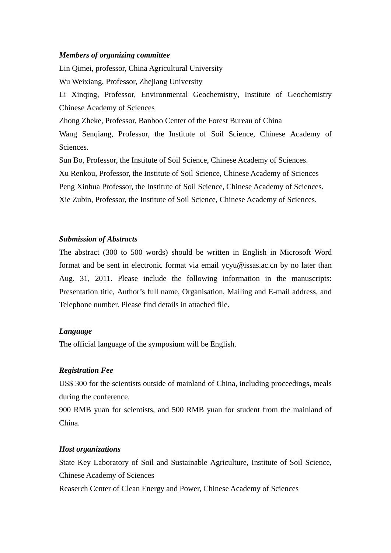#### *Members of organizing committee*

Lin Qimei, professor, China Agricultural University Wu Weixiang, Professor, Zhejiang University Li Xinqing, Professor, Environmental Geochemistry, Institute of Geochemistry Chinese Academy of Sciences Zhong Zheke, Professor, Banboo Center of the Forest Bureau of China Wang Senqiang, Professor, the Institute of Soil Science, Chinese Academy of Sciences. Sun Bo, Professor, the Institute of Soil Science, Chinese Academy of Sciences.

Xu Renkou, Professor, the Institute of Soil Science, Chinese Academy of Sciences Peng Xinhua Professor, the Institute of Soil Science, Chinese Academy of Sciences.

Xie Zubin, Professor, the Institute of Soil Science, Chinese Academy of Sciences.

## *Submission of Abstracts*

The abstract (300 to 500 words) should be written in English in Microsoft Word format and be sent in electronic format via email ycyu@issas.ac.cn by no later than Aug. 31, 2011. Please include the following information in the manuscripts: Presentation title, Author's full name, Organisation, Mailing and E-mail address, and Telephone number. Please find details in attached file.

## *Language*

The official language of the symposium will be English.

## *Registration Fee*

US\$ 300 for the scientists outside of mainland of China, including proceedings, meals during the conference.

900 RMB yuan for scientists, and 500 RMB yuan for student from the mainland of China.

## *Host organizations*

State Key Laboratory of Soil and Sustainable Agriculture, Institute of Soil Science, Chinese Academy of Sciences

Reaserch Center of Clean Energy and Power, Chinese Academy of Sciences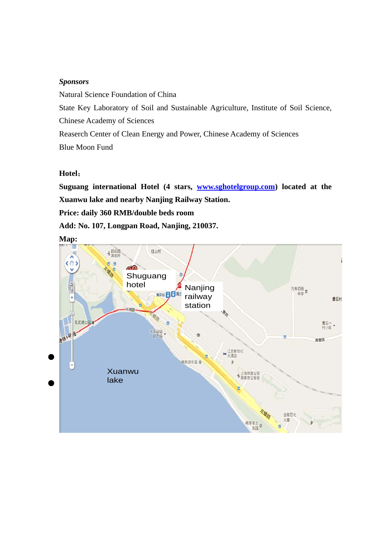## *Sponsors*

Natural Science Foundation of China State Key Laboratory of Soil and Sustainable Agriculture, Institute of Soil Science, Chinese Academy of Sciences Reaserch Center of Clean Energy and Power, Chinese Academy of Sciences Blue Moon Fund

## **Hotel**:

**Suguang international Hotel (4 stars, [www.sghotelgroup.com\)](http://www.sghotelgroup.com/) located at the Xuanwu lake and nearby Nanjing Railway Station. Price: daily 360 RMB/double beds room Add: No. 107, Longpan Road, Nanjing, 210037.** 

**Map:** 

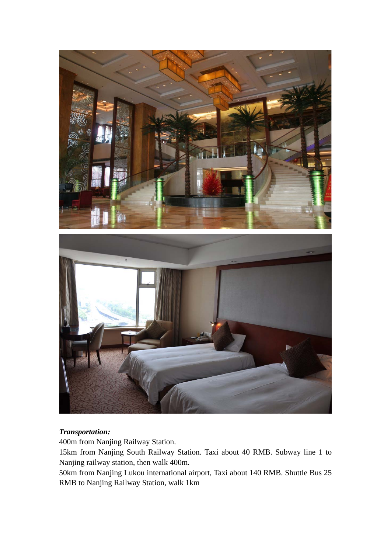

# *Transportation:*

400m from Nanjing Railway Station.

15km from Nanjing South Railway Station. Taxi about 40 RMB. Subway line 1 to Nanjing railway station, then walk 400m.

50km from Nanjing Lukou international airport, Taxi about 140 RMB. Shuttle Bus 25 RMB to Nanjing Railway Station, walk 1km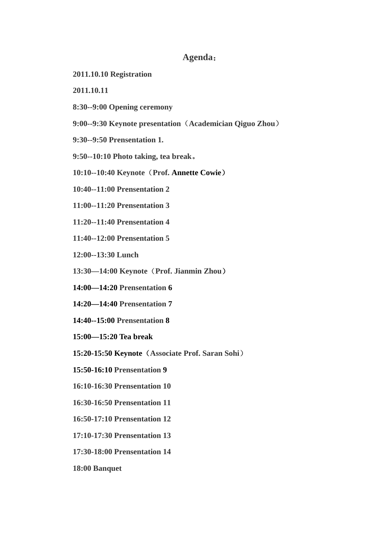## **Agenda**:

**2011.10.10 Registration** 

**2011.10.11** 

- **8:30--9:00 Opening ceremony**
- **9:00--9:30 Keynote presentation**(**Academician Qiguo Zhou**)
- **9:30--9:50 Prensentation 1.**
- **9:50--10:10 Photo taking, tea break**。
- **10:10--10:40 Keynote**(**Prof. Annette Cowie**)
- **10:40--11:00 Prensentation 2**
- **11:00--11:20 Prensentation 3**
- **11:20--11:40 Prensentation 4**
- **11:40--12:00 Prensentation 5**
- **12:00--13:30 Lunch**
- **13:30—14:00 Keynote**(**Prof. Jianmin Zhou**)
- **14:00—14:20 Prensentation 6**
- **14:20—14:40 Prensentation 7**
- **14:40--15:00 Prensentation 8**
- **15:00—15:20 Tea break**
- **15:20-15:50 Keynote**(**Associate Prof. Saran Sohi**)
- **15:50-16:10 Prensentation 9**
- **16:10-16:30 Prensentation 10**
- **16:30-16:50 Prensentation 11**
- **16:50-17:10 Prensentation 12**
- **17:10-17:30 Prensentation 13**
- **17:30-18:00 Prensentation 14**
- **18:00 Banquet**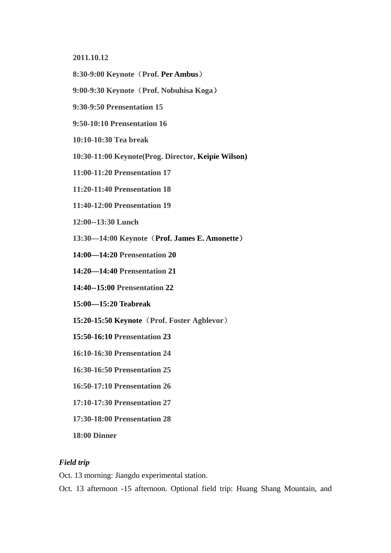**2011.10.12** 

- **8:30-9:00 Keynote**(**Prof. Per Ambus**)
- **9:00-9:30 Keynote**(**Prof. Nobuhisa Koga**)
- **9:30-9:50 Prensentation 15**
- **9:50-10:10 Prensentation 16**
- **10:10-10:30 Tea break**
- **10:30-11:00 Keynote(Prog. Director, Keipie Wilson)**
- **11:00-11:20 Prensentation 17**
- **11:20-11:40 Prensentation 18**
- **11:40-12:00 Prensentation 19**
- **12:00--13:30 Lunch**
- **13:30—14:00 Keynote**(**Prof. James E. Amonette**)
- **14:00—14:20 Prensentation 20**
- **14:20—14:40 Prensentation 21**
- **14:40--15:00 Prensentation 22**
- **15:00—15:20 Teabreak**
- **15:20-15:50 Keynote**(**Prof. Foster Agblevor**)
- **15:50-16:10 Prensentation 23**
- **16:10-16:30 Prensentation 24**
- **16:30-16:50 Prensentation 25**
- **16:50-17:10 Prensentation 26**
- **17:10-17:30 Prensentation 27**
- **17:30-18:00 Prensentation 28**
- **18:00 Dinner**

## *Field trip*

Oct. 13 morning: Jiangdu experimental station.

Oct. 13 afternoon -15 afternoon. Optional field trip: Huang Shang Mountain, and